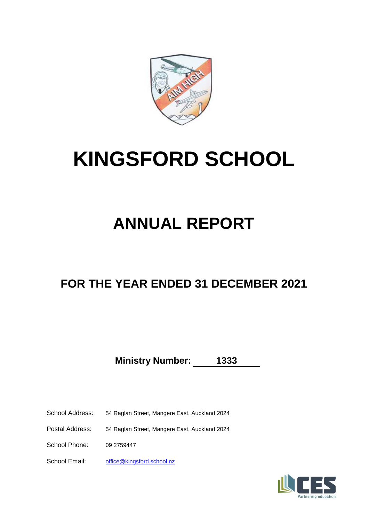

# **KINGSFORD SCHOOL**

# **ANNUAL REPORT**

# **FOR THE YEAR ENDED 31 DECEMBER 2021**

**Ministry Number: 1333**

School Address: 54 Raglan Street, Mangere East, Auckland 2024

Postal Address: 54 Raglan Street, Mangere East, Auckland 2024

School Phone: 09 2759447

School Email: [office@king](mailto:office@kingsford.school.nz)sford.school.nz

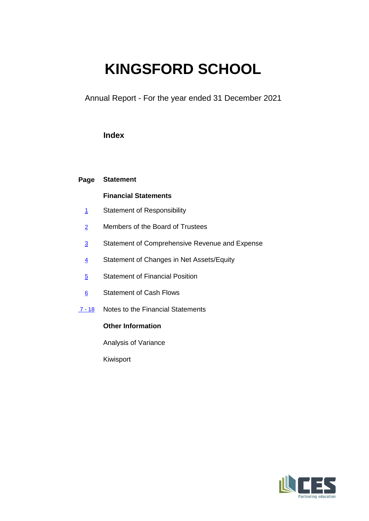# **KINGSFORD SCHOOL**

Annual Report - For the year ended 31 December 2021

# **Index**

# **Page Statement**

# **Financial Statements**

- 1 Statement of Responsibility
- 2 Members of the Board of Trustees
- 3 Statement of Comprehensive Revenue and Expense
- 4 Statement of Changes in Net Assets/Equity
- 5 Statement of Financial Position
- 6 Statement of Cash Flows
- 7 18 Notes to the Financial Statements

# **Other Information**

Analysis of Variance

Kiwisport

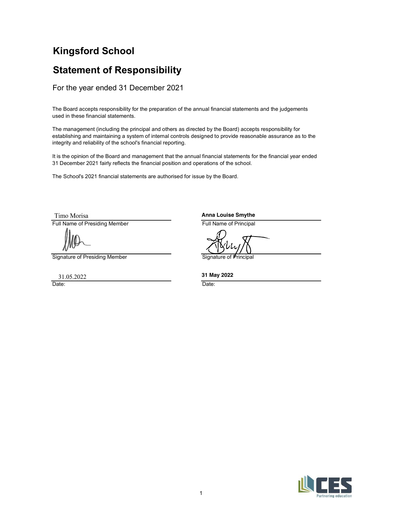# Kingsford School

# Statement of Responsibility

For the year ended 31 December 2021

The Board accepts responsibility for the preparation of the annual financial statements and the judgements used in these financial statements.

**Statement of Responsibility**<br>
For the year ended 31 December 2021<br>
The Board accepts responsibility for the preparation of the annual financial statements and the judgements<br>
used in these financial statements.<br>
The mana The Board accepts responsibility for the preparation of the annual financial statements and the judgements<br>used in these financial statements.<br>The management (including the principal and others as directed by the Board) ac The management (including the principal and others as directed by the Board) accepts responsibility for<br>establishing and manilaring a system of internal controls designed to provide reasonable assurance as to the<br>integrity The management (including the principal and others as directed by the Board) accepts responsibility for establishing and maintaining a system of internal controls designed to provide reasonable assurance as to the integrity and reliability of the school's financial reporting.

It is the opinion of the Board and management that the annual financial statements for the financial year ended 31 December 2021 fairly reflects the financial position and operations of the school.

The School's 2021 financial statements are authorised for issue by the Board.

Anna Louise Smythe

1 and  $\overline{p}$  and  $\overline{p}$  and  $\overline{p}$  and  $\overline{p}$  and  $\overline{p}$  and  $\overline{p}$  and  $\overline{p}$  and  $\overline{p}$  and  $\overline{p}$  and  $\overline{p}$  and  $\overline{p}$  and  $\overline{p}$  and  $\overline{p}$  and  $\overline{p}$  and  $\overline{p}$  and  $\overline{p}$  and  $\overline{p}$ 

31 May 2022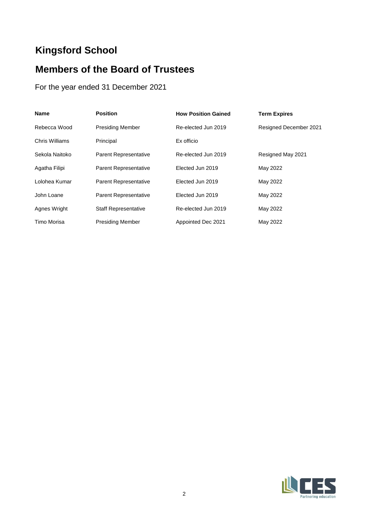# **Kingsford School**

# **Members of the Board of Trustees**

For the year ended 31 December 2021

| <b>Name</b>    | <b>Position</b>              | <b>How Position Gained</b> | <b>Term Expires</b>    |
|----------------|------------------------------|----------------------------|------------------------|
| Rebecca Wood   | <b>Presiding Member</b>      | Re-elected Jun 2019        | Resigned December 2021 |
| Chris Williams | Principal                    | Ex officio                 |                        |
| Sekola Naitoko | <b>Parent Representative</b> | Re-elected Jun 2019        | Resigned May 2021      |
| Agatha Filipi  | <b>Parent Representative</b> | Elected Jun 2019           | May 2022               |
| Lolohea Kumar  | Parent Representative        | Elected Jun 2019           | May 2022               |
| John Loane     | <b>Parent Representative</b> | Elected Jun 2019           | May 2022               |
| Agnes Wright   | <b>Staff Representative</b>  | Re-elected Jun 2019        | May 2022               |
| Timo Morisa    | <b>Presiding Member</b>      | Appointed Dec 2021         | May 2022               |

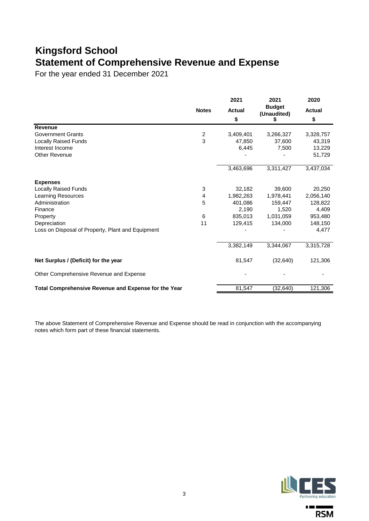# **Kingsford School Statement of Comprehensive Revenue and Expense**

For the year ended 31 December 2021

|                                                      |                | 2021                | 2021                              | 2020                |
|------------------------------------------------------|----------------|---------------------|-----------------------------------|---------------------|
|                                                      | <b>Notes</b>   | <b>Actual</b><br>\$ | <b>Budget</b><br>(Unaudited)<br>S | <b>Actual</b><br>\$ |
| Revenue                                              |                |                     |                                   |                     |
| <b>Government Grants</b>                             | $\overline{c}$ | 3,409,401           | 3,266,327                         | 3,328,757           |
| <b>Locally Raised Funds</b>                          | 3              | 47.850              | 37,600                            | 43,319              |
| Interest Income                                      |                | 6,445               | 7,500                             | 13,229              |
| Other Revenue                                        |                |                     |                                   | 51,729              |
|                                                      |                | 3,463,696           | 3,311,427                         | 3,437,034           |
| <b>Expenses</b>                                      |                |                     |                                   |                     |
| <b>Locally Raised Funds</b>                          | 3              | 32,182              | 39.600                            | 20,250              |
| <b>Learning Resources</b>                            | 4              | 1,982,263           | 1,978,441                         | 2,056,140           |
| Administration                                       | 5              | 401,086             | 159,447                           | 128,822             |
| Finance                                              |                | 2,190               | 1.520                             | 4,409               |
| Property                                             | 6              | 835,013             | 1,031,059                         | 953,480             |
| Depreciation                                         | 11             | 129,415             | 134,000                           | 148,150             |
| Loss on Disposal of Property, Plant and Equipment    |                |                     |                                   | 4,477               |
|                                                      |                | 3,382,149           | 3,344,067                         | 3,315,728           |
| Net Surplus / (Deficit) for the year                 |                | 81,547              | (32, 640)                         | 121,306             |
| Other Comprehensive Revenue and Expense              |                |                     |                                   |                     |
| Total Comprehensive Revenue and Expense for the Year |                | 81,547              | (32, 640)                         | 121,306             |

The above Statement of Comprehensive Revenue and Expense should be read in conjunction with the accompanying notes which form part of these financial statements.



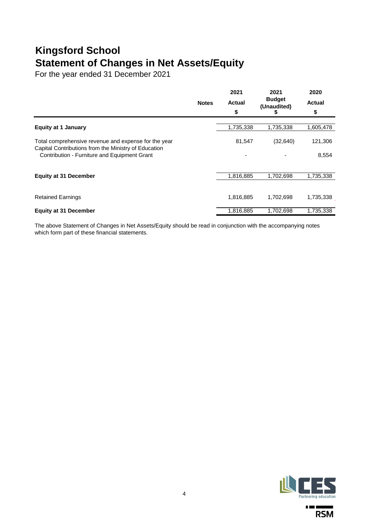# **Kingsford School Statement of Changes in Net Assets/Equity**

For the year ended 31 December 2021

|                                                                                                      | <b>Notes</b> | 2021<br><b>Actual</b><br>\$ | 2021<br><b>Budget</b><br>(Unaudited)<br>æ | 2020<br><b>Actual</b><br>\$ |
|------------------------------------------------------------------------------------------------------|--------------|-----------------------------|-------------------------------------------|-----------------------------|
| <b>Equity at 1 January</b>                                                                           |              | 1,735,338                   | 1,735,338                                 | 1,605,478                   |
|                                                                                                      |              |                             |                                           |                             |
| Total comprehensive revenue and expense for the year                                                 |              | 81,547                      | (32, 640)                                 | 121,306                     |
| Capital Contributions from the Ministry of Education<br>Contribution - Furniture and Equipment Grant |              | $\blacksquare$              |                                           | 8,554                       |
|                                                                                                      |              |                             |                                           |                             |
| <b>Equity at 31 December</b>                                                                         |              | 1,816,885                   | 1,702,698                                 | 1,735,338                   |
|                                                                                                      |              |                             |                                           |                             |
| <b>Retained Earnings</b>                                                                             |              | 1,816,885                   | 1,702,698                                 | 1,735,338                   |
| <b>Equity at 31 December</b>                                                                         |              | 1,816,885                   | 1,702,698                                 | 1,735,338                   |

The above Statement of Changes in Net Assets/Equity should be read in conjunction with the accompanying notes which form part of these financial statements.



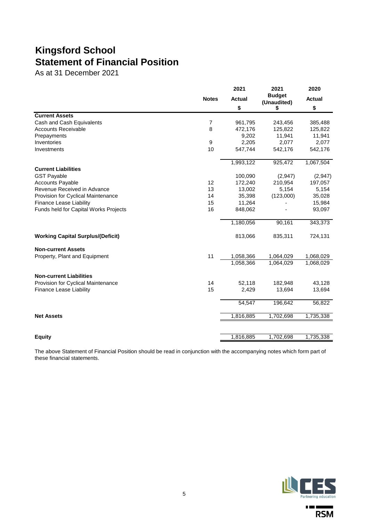# **Kingsford School Statement of Financial Position**

As at 31 December 2021

|                                          | <b>Notes</b> | 2021          | 2021          | 2020          |
|------------------------------------------|--------------|---------------|---------------|---------------|
|                                          |              | <b>Actual</b> | <b>Budget</b> | <b>Actual</b> |
|                                          |              |               | (Unaudited)   |               |
|                                          |              | \$            | \$            | \$            |
| <b>Current Assets</b>                    |              |               |               |               |
| Cash and Cash Equivalents                | 7            | 961,795       | 243,456       | 385,488       |
| <b>Accounts Receivable</b>               | 8            | 472,176       | 125,822       | 125,822       |
| Prepayments                              |              | 9,202         | 11,941        | 11,941        |
| Inventories                              | 9            | 2,205         | 2,077         | 2,077         |
| Investments                              | 10           | 547,744       | 542,176       | 542,176       |
|                                          |              | 1,993,122     | 925,472       | 1,067,504     |
| <b>Current Liabilities</b>               |              |               |               |               |
| <b>GST Payable</b>                       |              | 100,090       | (2,947)       | (2,947)       |
| <b>Accounts Payable</b>                  | 12           | 172,240       | 210,954       | 197,057       |
| Revenue Received in Advance              | 13           | 13,002        | 5,154         | 5,154         |
| Provision for Cyclical Maintenance       | 14           | 35,398        | (123,000)     | 35,028        |
| <b>Finance Lease Liability</b>           | 15           | 11,264        |               | 15,984        |
| Funds held for Capital Works Projects    | 16           | 848,062       |               | 93,097        |
|                                          |              | 1,180,056     | 90,161        | 343,373       |
| <b>Working Capital Surplus/(Deficit)</b> |              | 813,066       | 835,311       | 724,131       |
| <b>Non-current Assets</b>                |              |               |               |               |
| Property, Plant and Equipment            | 11           | 1,058,366     | 1,064,029     | 1,068,029     |
|                                          |              | 1,058,366     | 1,064,029     | 1,068,029     |
| <b>Non-current Liabilities</b>           |              |               |               |               |
| Provision for Cyclical Maintenance       | 14           | 52,118        | 182,948       | 43,128        |
| Finance Lease Liability                  | 15           | 2,429         | 13,694        | 13,694        |
|                                          |              | 54,547        | 196,642       | 56,822        |
| <b>Net Assets</b>                        |              | 1,816,885     | 1,702,698     | 1,735,338     |
|                                          |              |               |               |               |
| <b>Equity</b>                            |              | 1,816,885     | 1,702,698     | 1,735,338     |

The above Statement of Financial Position should be read in conjunction with the accompanying notes which form part of these financial statements.



 $\mathbf{r}$  and  $\mathbf{r}$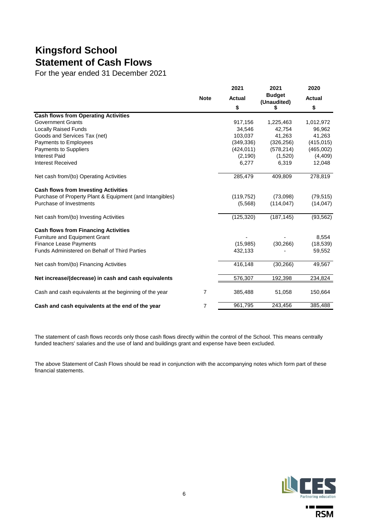# **Kingsford School Statement of Cash Flows**

For the year ended 31 December 2021

|                                                          |             | 2021          | 2021                         | 2020          |
|----------------------------------------------------------|-------------|---------------|------------------------------|---------------|
|                                                          | <b>Note</b> | <b>Actual</b> | <b>Budget</b><br>(Unaudited) | <b>Actual</b> |
|                                                          |             | \$            | 5                            | \$            |
| <b>Cash flows from Operating Activities</b>              |             |               |                              |               |
| <b>Government Grants</b>                                 |             | 917,156       | 1,225,463                    | 1,012,972     |
| <b>Locally Raised Funds</b>                              |             | 34,546        | 42,754                       | 96,962        |
| Goods and Services Tax (net)                             |             | 103,037       | 41,263                       | 41,263        |
| Payments to Employees                                    |             | (349, 336)    | (326, 256)                   | (415, 015)    |
| Payments to Suppliers                                    |             | (424, 011)    | (578, 214)                   | (465,002)     |
| <b>Interest Paid</b>                                     |             | (2, 190)      | (1,520)                      | (4, 409)      |
| <b>Interest Received</b>                                 |             | 6,277         | 6,319                        | 12,048        |
| Net cash from/(to) Operating Activities                  |             | 285,479       | 409,809                      | 278,819       |
| <b>Cash flows from Investing Activities</b>              |             |               |                              |               |
| Purchase of Property Plant & Equipment (and Intangibles) |             | (119, 752)    | (73,098)                     | (79, 515)     |
| Purchase of Investments                                  |             | (5,568)       | (114, 047)                   | (14, 047)     |
| Net cash from/(to) Investing Activities                  |             | (125, 320)    | (187, 145)                   | (93, 562)     |
| <b>Cash flows from Financing Activities</b>              |             |               |                              |               |
| Furniture and Equipment Grant                            |             |               |                              | 8,554         |
| <b>Finance Lease Payments</b>                            |             | (15,985)      | (30, 266)                    | (18, 539)     |
| Funds Administered on Behalf of Third Parties            |             | 432,133       |                              | 59,552        |
| Net cash from/(to) Financing Activities                  |             | 416,148       | (30, 266)                    | 49,567        |
| Net increase/(decrease) in cash and cash equivalents     |             | 576,307       | 192,398                      | 234,824       |
| Cash and cash equivalents at the beginning of the year   | 7           | 385,488       | 51,058                       | 150,664       |
| Cash and cash equivalents at the end of the year         | 7           | 961,795       | 243,456                      | 385,488       |

The statement of cash flows records only those cash flows directly within the control of the School. This means centrally funded teachers' salaries and the use of land and buildings grant and expense have been excluded.

The above Statement of Cash Flows should be read in conjunction with the accompanying notes which form part of these financial statements.



 $\mathbf{r} = \mathbf{r}$ **RSM**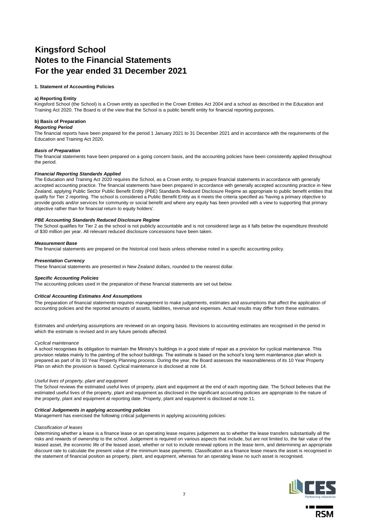# **Kingsford School Notes to the Financial Statements For the year ended 31 December 2021**

### **1. Statement of Accounting Policies**

### **a) Reporting Entity**

Kingsford School (the School) is a Crown entity as specified in the Crown Entities Act 2004 and a school as described in the Education and Training Act 2020. The Board is of the view that the School is a public benefit entity for financial reporting purposes.

### **b) Basis of Preparation**

#### *Reporting Period*

The financial reports have been prepared for the period 1 January 2021 to 31 December 2021 and in accordance with the requirements of the Education and Training Act 2020.

### *Basis of Preparation*

The financial statements have been prepared on a going concern basis, and the accounting policies have been consistently applied throughout the period.

### *Financial Reporting Standards Applied*

The Education and Training Act 2020 requires the School, as a Crown entity, to prepare financial statements in accordance with generally accepted accounting practice. The financial statements have been prepared in accordance with generally accepted accounting practice in New Zealand, applying Public Sector Public Benefit Entity (PBE) Standards Reduced Disclosure Regime as appropriate to public benefit entities that qualify for Tier 2 reporting. The school is considered a Public Benefit Entity as it meets the criteria specified as 'having a primary objective to provide goods and/or services for community or social benefit and where any equity has been provided with a view to supporting that primary objective rather than for financial return to equity holders'.

### *PBE Accounting Standards Reduced Disclosure Regime*

The School qualifies for Tier 2 as the school is not publicly accountable and is not considered large as it falls below the expenditure threshold of \$30 million per year. All relevant reduced disclosure concessions have been taken.

### *Measurement Base*

The financial statements are prepared on the historical cost basis unless otherwise noted in a specific accounting policy.

### *Presentation Currency*

These financial statements are presented in New Zealand dollars, rounded to the nearest dollar.

### *Specific Accounting Policies*

The accounting policies used in the preparation of these financial statements are set out below.

#### *Critical Accounting Estimates And Assumptions*

The preparation of financial statements requires management to make judgements, estimates and assumptions that affect the application of accounting policies and the reported amounts of assets, liabilities, revenue and expenses. Actual results may differ from these estimates.

Estimates and underlying assumptions are reviewed on an ongoing basis. Revisions to accounting estimates are recognised in the period in which the estimate is revised and in any future periods affected.

#### *Cyclical maintenance*

A school recognises its obligation to maintain the Ministry's buildings in a good state of repair as a provision for cyclical maintenance. This provision relates mainly to the painting of the school buildings. The estimate is based on the school's long term maintenance plan which is prepared as part of its 10 Year Property Planning process. During the year, the Board assesses the reasonableness of its 10 Year Property Plan on which the provision is based. Cyclical maintenance is disclosed at note 14.

#### *Useful lives of property, plant and equipment*

The School reviews the estimated useful lives of property, plant and equipment at the end of each reporting date. The School believes that the estimated useful lives of the property, plant and equipment as disclosed in the significant accounting policies are appropriate to the nature of the property, plant and equipment at reporting date. Property, plant and equipment is disclosed at note 11.

#### *Critical Judgements in applying accounting policies*

Management has exercised the following critical judgements in applying accounting policies:

#### *Classification of leases*

Determining whether a lease is a finance lease or an operating lease requires judgement as to whether the lease transfers substantially all the risks and rewards of ownership to the school. Judgement is required on various aspects that include, but are not limited to, the fair value of the leased asset, the economic life of the leased asset, whether or not to include renewal options in the lease term, and determining an appropriate discount rate to calculate the present value of the minimum lease payments. Classification as a finance lease means the asset is recognised in the statement of financial position as property, plant, and equipment, whereas for an operating lease no such asset is recognised.

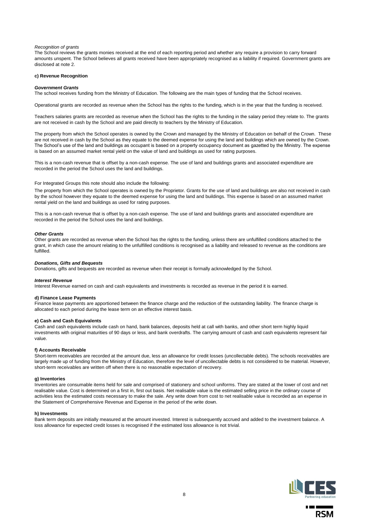### *Recognition of grants*

The School reviews the grants monies received at the end of each reporting period and whether any require a provision to carry forward amounts unspent. The School believes all grants received have been appropriately recognised as a liability if required. Government grants are disclosed at note 2.

#### **c) Revenue Recognition**

#### *Government Grants*

The school receives funding from the Ministry of Education. The following are the main types of funding that the School receives.

Operational grants are recorded as revenue when the School has the rights to the funding, which is in the year that the funding is received.

Teachers salaries grants are recorded as revenue when the School has the rights to the funding in the salary period they relate to. The grants are not received in cash by the School and are paid directly to teachers by the Ministry of Education.

The property from which the School operates is owned by the Crown and managed by the Ministry of Education on behalf of the Crown. These are not received in cash by the School as they equate to the deemed expense for using the land and buildings which are owned by the Crown. The School's use of the land and buildings as occupant is based on a property occupancy document as gazetted by the Ministry. The expense is based on an assumed market rental yield on the value of land and buildings as used for rating purposes.

This is a non-cash revenue that is offset by a non-cash expense. The use of land and buildings grants and associated expenditure are recorded in the period the School uses the land and buildings.

For Integrated Groups this note should also include the following:

The property from which the School operates is owned by the Proprietor. Grants for the use of land and buildings are also not received in cash by the school however they equate to the deemed expense for using the land and buildings. This expense is based on an assumed market rental yield on the land and buildings as used for rating purposes.

This is a non-cash revenue that is offset by a non-cash expense. The use of land and buildings grants and associated expenditure are recorded in the period the School uses the land and buildings.

#### *Other Grants*

Other grants are recorded as revenue when the School has the rights to the funding, unless there are unfulfilled conditions attached to the grant, in which case the amount relating to the unfulfilled conditions is recognised as a liability and released to revenue as the conditions are fulfilled.

#### *Donations, Gifts and Bequests*

Donations, gifts and bequests are recorded as revenue when their receipt is formally acknowledged by the School.

#### *Interest Revenue*

Interest Revenue earned on cash and cash equivalents and investments is recorded as revenue in the period it is earned.

#### **d) Finance Lease Payments**

Finance lease payments are apportioned between the finance charge and the reduction of the outstanding liability. The finance charge is allocated to each period during the lease term on an effective interest basis.

### **e) Cash and Cash Equivalents**

Cash and cash equivalents include cash on hand, bank balances, deposits held at call with banks, and other short term highly liquid investments with original maturities of 90 days or less, and bank overdrafts. The carrying amount of cash and cash equivalents represent fair value.

#### **f) Accounts Receivable**

Short-term receivables are recorded at the amount due, less an allowance for credit losses (uncollectable debts). The schools receivables are largely made up of funding from the Ministry of Education, therefore the level of uncollectable debts is not considered to be material. However, short-term receivables are written off when there is no reasonable expectation of recovery.

### **g) Inventories**

Inventories are consumable items held for sale and comprised of stationery and school uniforms. They are stated at the lower of cost and net realisable value. Cost is determined on a first in, first out basis. Net realisable value is the estimated selling price in the ordinary course of activities less the estimated costs necessary to make the sale. Any write down from cost to net realisable value is recorded as an expense in the Statement of Comprehensive Revenue and Expense in the period of the write down.

#### **h) Investments**

Bank term deposits are initially measured at the amount invested. Interest is subsequently accrued and added to the investment balance. A loss allowance for expected credit losses is recognised if the estimated loss allowance is not trivial.

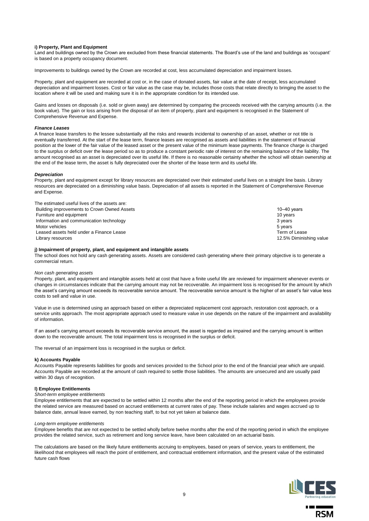### **i) Property, Plant and Equipment**

Land and buildings owned by the Crown are excluded from these financial statements. The Board's use of the land and buildings as 'occupant' is based on a property occupancy document.

Improvements to buildings owned by the Crown are recorded at cost, less accumulated depreciation and impairment losses.

Property, plant and equipment are recorded at cost or, in the case of donated assets, fair value at the date of receipt, less accumulated depreciation and impairment losses. Cost or fair value as the case may be, includes those costs that relate directly to bringing the asset to the location where it will be used and making sure it is in the appropriate condition for its intended use.

Gains and losses on disposals (i.e. sold or given away) are determined by comparing the proceeds received with the carrying amounts (i.e. the book value). The gain or loss arising from the disposal of an item of property, plant and equipment is recognised in the Statement of Comprehensive Revenue and Expense.

#### *Finance Leases*

A finance lease transfers to the lessee substantially all the risks and rewards incidental to ownership of an asset, whether or not title is eventually transferred. At the start of the lease term, finance leases are recognised as assets and liabilities in the statement of financial position at the lower of the fair value of the leased asset or the present value of the minimum lease payments. The finance charge is charged to the surplus or deficit over the lease period so as to produce a constant periodic rate of interest on the remaining balance of the liability. The amount recognised as an asset is depreciated over its useful life. If there is no reasonable certainty whether the school will obtain ownership at the end of the lease term, the asset is fully depreciated over the shorter of the lease term and its useful life.

#### *Depreciation*

Property, plant and equipment except for library resources are depreciated over their estimated useful lives on a straight line basis. Library resources are depreciated on a diminishing value basis. Depreciation of all assets is reported in the Statement of Comprehensive Revenue and Expense.

The estimated useful lives of the assets are: Building improvements to Crown Owned Assets 10–40 years 10–40 years 10–40 years Furniture and equipment 10 years<br>
Information and communication technology<br>
3 years Information and communication technology Motor vehicles 5 years 3 years 3 years 3 years 3 years 3 years 3 years 3 years 3 years 3 years 3 years 3 years 3 years 3 years 3 years 3 years 3 years 3 years 3 years 3 years 3 years 3 years 3 years 3 years 3 years 3 years Leased assets held under a Finance Lease Term of Lease Term of Lease Term of Lease Library resources 12.5% Diminishing value

#### **j) Impairment of property, plant, and equipment and intangible assets**

The school does not hold any cash generating assets. Assets are considered cash generating where their primary objective is to generate a commercial return.

#### *Non cash generating assets*

Property, plant, and equipment and intangible assets held at cost that have a finite useful life are reviewed for impairment whenever events or changes in circumstances indicate that the carrying amount may not be recoverable. An impairment loss is recognised for the amount by which the asset's carrying amount exceeds its recoverable service amount. The recoverable service amount is the higher of an asset's fair value less costs to sell and value in use.

Value in use is determined using an approach based on either a depreciated replacement cost approach, restoration cost approach, or a service units approach. The most appropriate approach used to measure value in use depends on the nature of the impairment and availability of information.

If an asset's carrying amount exceeds its recoverable service amount, the asset is regarded as impaired and the carrying amount is written down to the recoverable amount. The total impairment loss is recognised in the surplus or deficit.

The reversal of an impairment loss is recognised in the surplus or deficit.

#### **k) Accounts Payable**

Accounts Payable represents liabilities for goods and services provided to the School prior to the end of the financial year which are unpaid. Accounts Payable are recorded at the amount of cash required to settle those liabilities. The amounts are unsecured and are usually paid within 30 days of recognition.

### **l) Employee Entitlements**

### *Short-term employee entitlements*

Employee entitlements that are expected to be settled within 12 months after the end of the reporting period in which the employees provide the related service are measured based on accrued entitlements at current rates of pay. These include salaries and wages accrued up to balance date, annual leave earned, by non teaching staff, to but not yet taken at balance date.

### *Long-term employee entitlements*

Employee benefits that are not expected to be settled wholly before twelve months after the end of the reporting period in which the employee provides the related service, such as retirement and long service leave, have been calculated on an actuarial basis.

The calculations are based on the likely future entitlements accruing to employees, based on years of service, years to entitlement, the likelihood that employees will reach the point of entitlement, and contractual entitlement information, and the present value of the estimated future cash flows

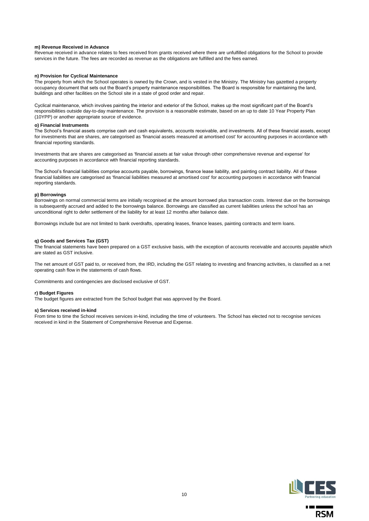### **m) Revenue Received in Advance**

Revenue received in advance relates to fees received from grants received where there are unfulfilled obligations for the School to provide services in the future. The fees are recorded as revenue as the obligations are fulfilled and the fees earned.

#### **n) Provision for Cyclical Maintenance**

The property from which the School operates is owned by the Crown, and is vested in the Ministry. The Ministry has gazetted a property occupancy document that sets out the Board's property maintenance responsibilities. The Board is responsible for maintaining the land, buildings and other facilities on the School site in a state of good order and repair.

Cyclical maintenance, which involves painting the interior and exterior of the School, makes up the most significant part of the Board's responsibilities outside day-to-day maintenance. The provision is a reasonable estimate, based on an up to date 10 Year Property Plan (10YPP) or another appropriate source of evidence.

#### **o) Financial Instruments**

The School's financial assets comprise cash and cash equivalents, accounts receivable, and investments. All of these financial assets, except for investments that are shares, are categorised as 'financial assets measured at amortised cost' for accounting purposes in accordance with financial reporting standards.

Investments that are shares are categorised as 'financial assets at fair value through other comprehensive revenue and expense' for accounting purposes in accordance with financial reporting standards.

The School's financial liabilities comprise accounts payable, borrowings, finance lease liability, and painting contract liability. All of these financial liabilities are categorised as 'financial liabilities measured at amortised cost' for accounting purposes in accordance with financial reporting standards.

### **p) Borrowings**

Borrowings on normal commercial terms are initially recognised at the amount borrowed plus transaction costs. Interest due on the borrowings is subsequently accrued and added to the borrowings balance. Borrowings are classified as current liabilities unless the school has an unconditional right to defer settlement of the liability for at least 12 months after balance date.

Borrowings include but are not limited to bank overdrafts, operating leases, finance leases, painting contracts and term loans.

#### **q) Goods and Services Tax (GST)**

The financial statements have been prepared on a GST exclusive basis, with the exception of accounts receivable and accounts payable which are stated as GST inclusive.

The net amount of GST paid to, or received from, the IRD, including the GST relating to investing and financing activities, is classified as a net operating cash flow in the statements of cash flows.

Commitments and contingencies are disclosed exclusive of GST.

#### **r) Budget Figures**

The budget figures are extracted from the School budget that was approved by the Board.

#### **s) Services received in-kind**

From time to time the School receives services in-kind, including the time of volunteers. The School has elected not to recognise services received in kind in the Statement of Comprehensive Revenue and Expense.

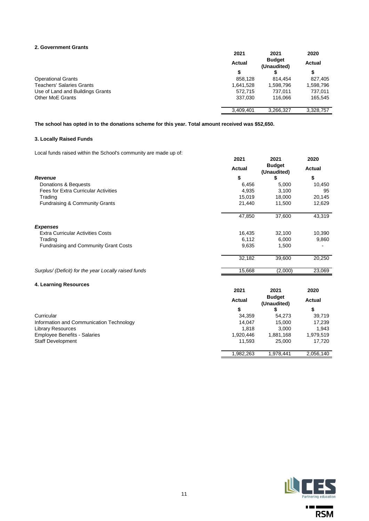# **2. Government Grants**

|                                  | 2021          | 2021                         | 2020      |
|----------------------------------|---------------|------------------------------|-----------|
|                                  | <b>Actual</b> | <b>Budget</b><br>(Unaudited) | Actual    |
|                                  | S             |                              | \$        |
| <b>Operational Grants</b>        | 858,128       | 814.454                      | 827,405   |
| <b>Teachers' Salaries Grants</b> | 1,641,528     | 1,598,796                    | 1,598,796 |
| Use of Land and Buildings Grants | 572.715       | 737.011                      | 737,011   |
| <b>Other MoE Grants</b>          | 337.030       | 116.066                      | 165.545   |
|                                  | 3,409,401     | 3,266,327                    | 3,328,757 |

**The school has opted in to the donations scheme for this year. Total amount received was \$52,650.**

# **3. Locally Raised Funds**

Local funds raised within the School's community are made up of:

|                                                      | 2021          | 2021                         | 2020          |
|------------------------------------------------------|---------------|------------------------------|---------------|
|                                                      | <b>Actual</b> | <b>Budget</b><br>(Unaudited) | <b>Actual</b> |
| <b>Revenue</b>                                       | \$            | \$                           | \$            |
| Donations & Bequests                                 | 6,456         | 5,000                        | 10,450        |
| <b>Fees for Extra Curricular Activities</b>          | 4,935         | 3,100                        | 95            |
| Trading                                              | 15,019        | 18,000                       | 20,145        |
| Fundraising & Community Grants                       | 21,440        | 11,500                       | 12,629        |
|                                                      | 47,850        | 37,600                       | 43,319        |
| <b>Expenses</b>                                      |               |                              |               |
| <b>Extra Curricular Activities Costs</b>             | 16,435        | 32,100                       | 10,390        |
| Trading                                              | 6,112         | 6,000                        | 9,860         |
| <b>Fundraising and Community Grant Costs</b>         | 9,635         | 1,500                        |               |
|                                                      | 32,182        | 39,600                       | 20,250        |
| Surplus/ (Deficit) for the year Locally raised funds | 15,668        | (2,000)                      | 23,069        |
| 4. Learning Resources                                |               |                              |               |
|                                                      | 2021          | 2021                         | 2020          |
|                                                      | Actual        | <b>Budget</b><br>(Unaudited) | <b>Actual</b> |

| Curricular                               | 34.359    | 54.273    | 39.719    |
|------------------------------------------|-----------|-----------|-----------|
| Information and Communication Technology | 14.047    | 15.000    | 17.239    |
| Library Resources                        | 1.818     | 3.000     | 1.943     |
| Employee Benefits - Salaries             | 1.920.446 | 881.168.ا | 1.979.519 |
| <b>Staff Development</b>                 | 11.593    | 25,000    | 17,720    |



**\$ \$ \$**

1,982,263 1,978,441 2,056,140

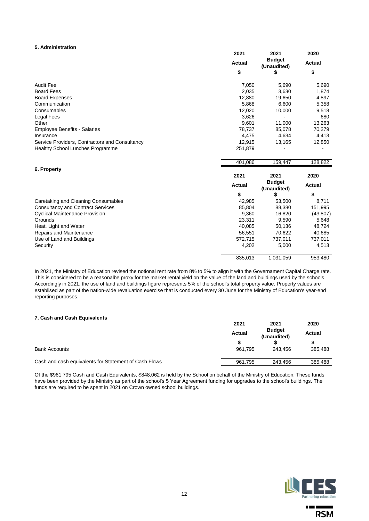# **5. Administration**

|                                                | 2021          | 2021                         | 2020          |
|------------------------------------------------|---------------|------------------------------|---------------|
|                                                | <b>Actual</b> | <b>Budget</b><br>(Unaudited) | <b>Actual</b> |
|                                                | \$            | \$                           | \$            |
| <b>Audit Fee</b>                               | 7,050         | 5,690                        | 5,690         |
| <b>Board Fees</b>                              | 2,035         | 3,630                        | 1,874         |
| <b>Board Expenses</b>                          | 12,880        | 19,650                       | 4,897         |
| Communication                                  | 5,868         | 6,600                        | 5,358         |
| Consumables                                    | 12,020        | 10,000                       | 9,518         |
| <b>Legal Fees</b>                              | 3,626         |                              | 680           |
| Other                                          | 9,601         | 11,000                       | 13,263        |
| <b>Employee Benefits - Salaries</b>            | 78,737        | 85,078                       | 70,279        |
| Insurance                                      | 4,475         | 4,634                        | 4,413         |
| Service Providers, Contractors and Consultancy | 12,915        | 13,165                       | 12,850        |
| <b>Healthy School Lunches Programme</b>        | 251,879       |                              |               |
|                                                | 401,086       | 159,447                      | 128,822       |
| 6. Property                                    |               |                              |               |
|                                                | 2021          | 2021                         | 2020          |
|                                                | <b>Actual</b> | <b>Budget</b><br>(Unaudited) | <b>Actual</b> |
|                                                | \$            | \$                           | \$            |
| Caretaking and Cleaning Consumables            | 42,985        | 53,500                       | 8,711         |
| <b>Consultancy and Contract Services</b>       | 85,804        | 88,380                       | 151,995       |
| <b>Cyclical Maintenance Provision</b>          | 9,360         | 16,820                       | (43, 807)     |
| Grounds                                        | 23,311        | 9,590                        | 5,648         |
| Heat, Light and Water                          | 40,085        | 50,136                       | 48,724        |
| Repairs and Maintenance                        | 56,551        | 70,622                       | 40,685        |
| Use of Land and Buildings                      | 572,715       | 737,011                      | 737,011       |
| Security                                       | 4,202         | 5,000                        | 4,513         |
|                                                | 835,013       | 1,031,059                    | 953,480       |

In 2021, the Ministry of Education revised the notional rent rate from 8% to 5% to align it with the Governament Capital Charge rate. This is considered to be a reasonalbe proxy for the market rental yield on the value of the land and buildings used by the schools. Accordingly in 2021, the use of land and buildings figure represents 5% of the school's total property value. Property values are establised as part of the nation-wide revaluation exercise that is conducted every 30 June for the Ministry of Education's year-end reporting purposes.

# **7. Cash and Cash Equivalents**

|                                                       | 2021          | 2021                         | 2020    |
|-------------------------------------------------------|---------------|------------------------------|---------|
|                                                       | <b>Actual</b> | <b>Budget</b><br>(Unaudited) | Actual  |
|                                                       |               |                              |         |
| <b>Bank Accounts</b>                                  | 961.795       | 243.456                      | 385,488 |
| Cash and cash equivalents for Statement of Cash Flows | 961.795       | 243.456                      | 385.488 |
|                                                       |               |                              |         |

Of the \$961,795 Cash and Cash Equivalents, \$848,062 is held by the School on behalf of the Ministry of Education. These funds have been provided by the Ministry as part of the school's 5 Year Agreement funding for upgrades to the school's buildings. The funds are required to be spent in 2021 on Crown owned school buildings.



 $\mathbf{r} = \mathbf{r}$ **RSM** 

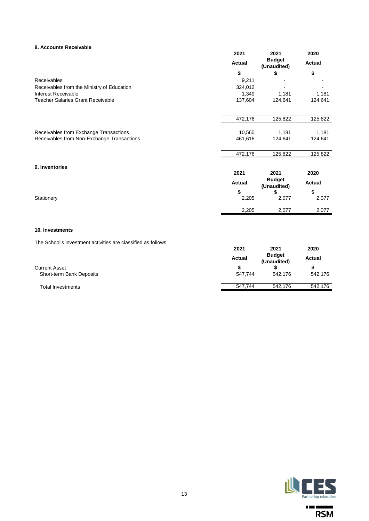# **8. Accounts Receivable**

| 2021          | 2021                               | 2020                                               |
|---------------|------------------------------------|----------------------------------------------------|
| <b>Actual</b> | <b>Budget</b><br>(Unaudited)       | <b>Actual</b>                                      |
| \$            | \$                                 | \$                                                 |
| 9,211         |                                    |                                                    |
| 324,012       |                                    |                                                    |
| 1,349         | 1,181                              | 1,181                                              |
| 137,604       | 124,641                            | 124,641                                            |
|               |                                    | 125,822                                            |
|               |                                    |                                                    |
|               |                                    | 1,181                                              |
| 461,616       | 124,641                            | 124,641                                            |
| 472,176       | 125,822                            | 125,822                                            |
|               |                                    |                                                    |
|               |                                    | 2020                                               |
| <b>Actual</b> | (Unaudited)                        | <b>Actual</b>                                      |
| \$            | \$                                 | \$                                                 |
|               |                                    | 2,077                                              |
| 2,205         | 2,077                              | 2,077                                              |
|               | 472,176<br>10,560<br>2021<br>2,205 | 125,822<br>1,181<br>2021<br><b>Budget</b><br>2,077 |

The School's investment activities are classified as follows:

|                          | <b>Actual</b> | <b>Budget</b><br>(Unaudited) | Actual  |
|--------------------------|---------------|------------------------------|---------|
| <b>Current Asset</b>     |               |                              |         |
| Short-term Bank Deposits | 547.744       | 542.176                      | 542.176 |
| <b>Total Investments</b> | 547.744       | 542.176                      | 542.176 |



 $\mathbf{r} = \mathbf{r}$ 

÷  $RSM$ 

**2021 2021 2020**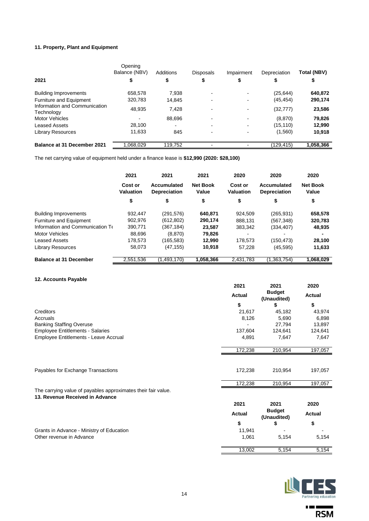# **11. Property, Plant and Equipment**

|                                             | Opening<br>Balance (NBV) | Additions | <b>Disposals</b>         | Impairment | Depreciation | Total (NBV) |
|---------------------------------------------|--------------------------|-----------|--------------------------|------------|--------------|-------------|
| 2021                                        | \$                       | \$        | \$                       |            |              |             |
| <b>Building Improvements</b>                | 658,578                  | 7.938     |                          |            | (25, 644)    | 640,872     |
| Furniture and Equipment                     | 320.783                  | 14,845    | $\blacksquare$           |            | (45, 454)    | 290,174     |
| Information and Communication<br>Technology | 48,935                   | 7.428     | $\overline{\phantom{a}}$ | -          | (32, 777)    | 23,586      |
| <b>Motor Vehicles</b>                       |                          | 88,696    |                          | -          | (8,870)      | 79,826      |
| Leased Assets                               | 28.100                   |           |                          |            | (15, 110)    | 12,990      |
| <b>Library Resources</b>                    | 11.633                   | 845       | $\blacksquare$           |            | (1,560)      | 10,918      |
| Balance at 31 December 2021                 | .068.029                 | 119.752   |                          |            | (129,415)    | 1,058,366   |

The net carrying value of equipment held under a finance lease is **\$12,990 (2020: \$28,100)**

|                                  | 2021                        | 2021                               | 2021                     | 2020                        | 2020                               | 2020                     |
|----------------------------------|-----------------------------|------------------------------------|--------------------------|-----------------------------|------------------------------------|--------------------------|
|                                  | Cost or<br><b>Valuation</b> | Accumulated<br><b>Depreciation</b> | <b>Net Book</b><br>Value | Cost or<br><b>Valuation</b> | Accumulated<br><b>Depreciation</b> | <b>Net Book</b><br>Value |
|                                  | \$                          | \$                                 | \$                       | \$                          | \$                                 | \$                       |
| <b>Building Improvements</b>     | 932.447                     | (291,576)                          | 640.871                  | 924.509                     | (265, 931)                         | 658,578                  |
| <b>Furniture and Equipment</b>   | 902,976                     | (612, 802)                         | 290.174                  | 888,131                     | (567, 348)                         | 320,783                  |
| Information and Communication To | 390,771                     | (367, 184)                         | 23,587                   | 383.342                     | (334,407)                          | 48,935                   |
| <b>Motor Vehicles</b>            | 88,696                      | (8, 870)                           | 79,826                   |                             |                                    |                          |
| Leased Assets                    | 178,573                     | (165,583)                          | 12,990                   | 178.573                     | (150, 473)                         | 28,100                   |
| Library Resources                | 58,073                      | (47, 155)                          | 10,918                   | 57,228                      | (45, 595)                          | 11,633                   |
| <b>Balance at 31 December</b>    | 2,551,536                   | (1,493,170)                        | 1,058,366                | 2,431,783                   | (1,363,754)                        | 1,068,029                |

# **12. Accounts Payable**

|                                                                                                  | 2021          | 2021                         | 2020          |
|--------------------------------------------------------------------------------------------------|---------------|------------------------------|---------------|
|                                                                                                  | <b>Actual</b> | <b>Budget</b><br>(Unaudited) | Actual        |
|                                                                                                  | \$            | \$                           | \$            |
| Creditors                                                                                        | 21,617        | 45,182                       | 43,974        |
| Accruals                                                                                         | 8,126         | 5,690                        | 6,898         |
| <b>Banking Staffing Overuse</b>                                                                  |               | 27,794                       | 13,897        |
| <b>Employee Entitlements - Salaries</b>                                                          | 137,604       | 124,641                      | 124,641       |
| Employee Entitlements - Leave Accrual                                                            | 4,891         | 7,647                        | 7,647         |
|                                                                                                  | 172,238       | 210,954                      | 197,057       |
|                                                                                                  |               |                              |               |
| Payables for Exchange Transactions                                                               | 172,238       | 210,954                      | 197,057       |
|                                                                                                  | 172,238       | 210,954                      | 197,057       |
| The carrying value of payables approximates their fair value.<br>13. Revenue Received in Advance |               |                              |               |
|                                                                                                  | 2021          | 2021                         | 2020          |
|                                                                                                  | <b>Actual</b> | <b>Budget</b><br>(Unaudited) | <b>Actual</b> |
|                                                                                                  | \$            | \$                           | \$            |
| Grants in Advance - Ministry of Education                                                        | 11,941        |                              |               |
| Other revenue in Advance                                                                         | 1,061         | 5,154                        | 5,154         |
|                                                                                                  | 13,002        | 5,154                        | 5,154         |



 $\mathbf{r} = \mathbf{r}$ 

 $\blacksquare$  $RSM$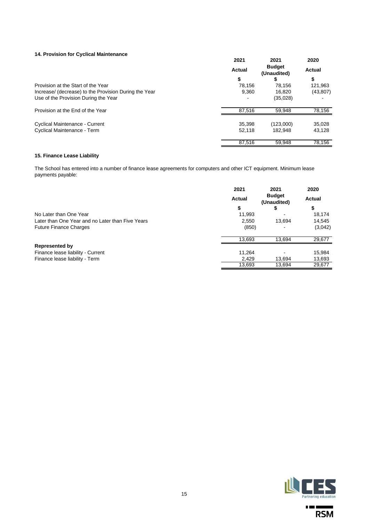# **14. Provision for Cyclical Maintenance**

|                                                       | 2021          | 2021                         | 2020      |
|-------------------------------------------------------|---------------|------------------------------|-----------|
|                                                       | <b>Actual</b> | <b>Budget</b><br>(Unaudited) | Actual    |
|                                                       | \$            |                              | \$        |
| Provision at the Start of the Year                    | 78.156        | 78.156                       | 121,963   |
| Increase/ (decrease) to the Provision During the Year | 9.360         | 16.820                       | (43, 807) |
| Use of the Provision During the Year                  |               | (35,028)                     |           |
| Provision at the End of the Year                      | 87.516        | 59.948                       | 78,156    |
| Cyclical Maintenance - Current                        | 35,398        | (123,000)                    | 35,028    |
| Cyclical Maintenance - Term                           | 52.118        | 182.948                      | 43.128    |
|                                                       | 87.516        | 59.948                       | 78.156    |

# **15. Finance Lease Liability**

The School has entered into a number of finance lease agreements for computers and other ICT equipment. Minimum lease payments payable:

|                                                  | 2021          | 2021                         | 2020    |
|--------------------------------------------------|---------------|------------------------------|---------|
|                                                  | <b>Actual</b> | <b>Budget</b><br>(Unaudited) | Actual  |
|                                                  | \$            |                              | \$      |
| No Later than One Year                           | 11,993        |                              | 18,174  |
| Later than One Year and no Later than Five Years | 2.550         | 13.694                       | 14,545  |
| <b>Future Finance Charges</b>                    | (850)         |                              | (3,042) |
|                                                  | 13,693        | 13,694                       | 29,677  |
| <b>Represented by</b>                            |               |                              |         |
| Finance lease liability - Current                | 11.264        |                              | 15,984  |
| Finance lease liability - Term                   | 2,429         | 13,694                       | 13,693  |
|                                                  | 13,693        | 13,694                       | 29,677  |



 $\mathbf{r} = \mathbf{r}$ 

▅ **RSM**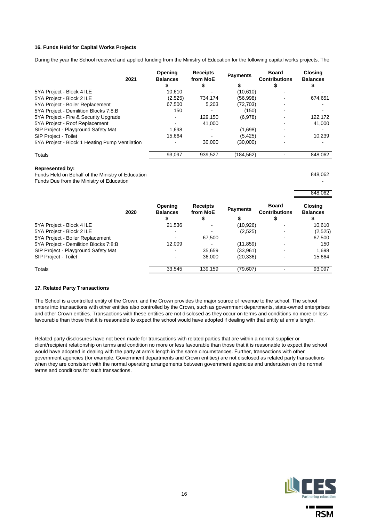# **16. Funds Held for Capital Works Projects**

During the year the School received and applied funding from the Ministry of Education for the following capital works projects. The

| 2021                                           | Opening<br><b>Balances</b> | <b>Receipts</b><br>from MoE<br>\$ | <b>Payments</b> | <b>Board</b><br><b>Contributions</b> | <b>Closing</b><br><b>Balances</b> |
|------------------------------------------------|----------------------------|-----------------------------------|-----------------|--------------------------------------|-----------------------------------|
| 5YA Project - Block 4 ILE                      | 10,610                     |                                   | (10,610)        |                                      |                                   |
| 5YA Project - Block 2 ILE                      | (2,525)                    | 734.174                           | (56,998)        |                                      | 674,651                           |
| 5YA Project - Boiler Replacement               | 67.500                     | 5.203                             | (72, 703)       |                                      |                                   |
| 5YA Project - Demilition Blocks 7:8:B          | 150                        |                                   | (150)           |                                      |                                   |
| 5YA Project - Fire & Security Upgrade          |                            | 129,150                           | (6,978)         |                                      | 122,172                           |
| 5YA Project - Roof Replacement                 |                            | 41.000                            |                 |                                      | 41,000                            |
| SIP Project - Playground Safety Mat            | 1.698                      |                                   | (1,698)         |                                      |                                   |
| <b>SIP Project - Toilet</b>                    | 15.664                     |                                   | (5, 425)        |                                      | 10.239                            |
| 5YA Project - Block 1 Heating Pump Ventilation |                            | 30,000                            | (30,000)        |                                      |                                   |
| Totals                                         | 93,097                     | 939,527                           | (184, 562)      |                                      | 848,062                           |

## **Represented by:**

Funds Held on Behalf of the Ministry of Education 848,062 Funds Due from the Ministry of Education -

|                                       | 2020 | Opening<br><b>Balances</b> | <b>Receipts</b><br>from MoE<br>Φ | <b>Payments</b><br>\$ | <b>Board</b><br><b>Contributions</b> | <b>Closing</b><br><b>Balances</b> |
|---------------------------------------|------|----------------------------|----------------------------------|-----------------------|--------------------------------------|-----------------------------------|
| 5YA Project - Block 4 ILE             |      | 21.536                     |                                  | (10, 926)             |                                      | 10.610                            |
| 5YA Project - Block 2 ILE             |      |                            |                                  | (2,525)               |                                      | (2,525)                           |
| 5YA Project - Boiler Replacement      |      |                            | 67.500                           |                       |                                      | 67,500                            |
| 5YA Project - Demilition Blocks 7:8:B |      | 12.009                     |                                  | (11, 859)             |                                      | 150                               |
| SIP Project - Playground Safety Mat   |      |                            | 35.659                           | (33,961)              |                                      | 1.698                             |
| <b>SIP Project - Toilet</b>           |      |                            | 36,000                           | (20, 336)             |                                      | 15,664                            |
| Totals                                |      | 33.545                     | 139.159                          | (79, 607)             |                                      | 93.097                            |

### **17. Related Party Transactions**

The School is a controlled entity of the Crown, and the Crown provides the major source of revenue to the school. The school enters into transactions with other entities also controlled by the Crown, such as government departments, state-owned enterprises and other Crown entities. Transactions with these entities are not disclosed as they occur on terms and conditions no more or less favourable than those that it is reasonable to expect the school would have adopted if dealing with that entity at arm's length.

Related party disclosures have not been made for transactions with related parties that are within a normal supplier or client/recipient relationship on terms and condition no more or less favourable than those that it is reasonable to expect the school would have adopted in dealing with the party at arm's length in the same circumstances. Further, transactions with other government agencies (for example, Government departments and Crown entities) are not disclosed as related party transactions when they are consistent with the normal operating arrangements between government agencies and undertaken on the normal terms and conditions for such transactions.

16



**A** 100 M

**RSM** 

848,062

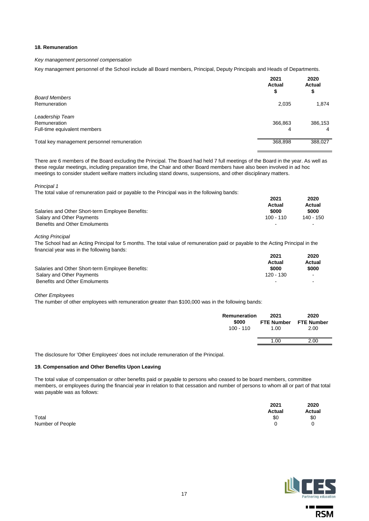## **18. Remuneration**

### *Key management personnel compensation*

Key management personnel of the School include all Board members, Principal, Deputy Principals and Heads of Departments.

|                                             | 2021<br><b>Actual</b><br>\$ | 2020<br>Actual<br>\$ |
|---------------------------------------------|-----------------------------|----------------------|
| <b>Board Members</b>                        |                             |                      |
| Remuneration                                | 2,035                       | 1,874                |
| Leadership Team                             |                             |                      |
| Remuneration                                | 366,863                     | 386,153              |
| Full-time equivalent members                | 4                           | $\overline{a}$       |
| Total key management personnel remuneration | 368,898                     | 388,027              |

There are 6 members of the Board excluding the Principal. The Board had held 7 full meetings of the Board in the year. As well as these regular meetings, including preparation time, the Chair and other Board members have also been involved in ad hoc meetings to consider student welfare matters including stand downs, suspensions, and other disciplinary matters.

*Principal 1*

The total value of remuneration paid or payable to the Principal was in the following bands:

|                                                  | 2021        | 2020      |  |
|--------------------------------------------------|-------------|-----------|--|
|                                                  | Actual      | Actual    |  |
| Salaries and Other Short-term Employee Benefits: | \$000       | \$000     |  |
| Salary and Other Payments                        | $100 - 110$ | 140 - 150 |  |
| Benefits and Other Emoluments                    |             |           |  |

*Acting Principal* 

The School had an Acting Principal for 5 months. The total value of remuneration paid or payable to the Acting Principal in the financial year was in the following bands:

|                                                  | 2021                     | 2020           |
|--------------------------------------------------|--------------------------|----------------|
|                                                  | Actual                   | Actual         |
| Salaries and Other Short-term Employee Benefits: | \$000                    | \$000          |
| Salary and Other Payments                        | 120 - 130                | $\sim$         |
| Benefits and Other Emoluments                    | $\overline{\phantom{a}}$ | $\blacksquare$ |

*Other Employees*

The number of other employees with remuneration greater than \$100,000 was in the following bands:

| Remuneration<br>\$000<br>$100 - 110$ | 2021<br>FTE Number FTE Number<br>1.00 | 2020<br>2.00 |
|--------------------------------------|---------------------------------------|--------------|
|                                      | 1.00                                  | 2.00         |
|                                      |                                       |              |

The disclosure for 'Other Employees' does not include remuneration of the Principal.

# **19. Compensation and Other Benefits Upon Leaving**

The total value of compensation or other benefits paid or payable to persons who ceased to be board members, committee members, or employees during the financial year in relation to that cessation and number of persons to whom all or part of that total was payable was as follows:

|                  | Avual | へいい |
|------------------|-------|-----|
| Total            | \$0   | \$C |
| Number of People |       | 0   |



**CONTINUES** 

**RSM** 

**2021 2020 Actual Actual**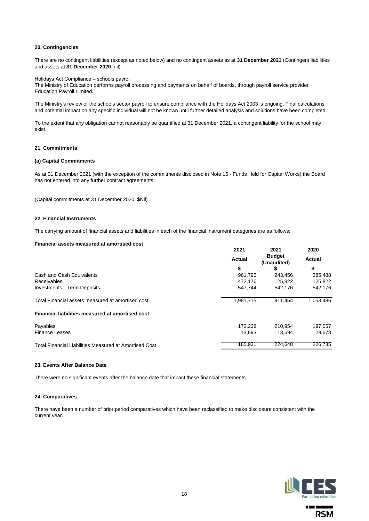## **20. Contingencies**

There are no contingent liabilities (except as noted below) and no contingent assets as at **31 December 2021** (Contingent liabilities and assets at **31 December 2020**: nil).

### Holidays Act Compliance – schools payroll

The Ministry of Education performs payroll processing and payments on behalf of boards, through payroll service provider Education Payroll Limited.

The Ministry's review of the schools sector payroll to ensure compliance with the Holidays Act 2003 is ongoing. Final calculations and potential impact on any specific individual will not be known until further detailed analysis and solutions have been completed.

To the extent that any obligation cannot reasonably be quantified at 31 December 2021, a contingent liability for the school may exist.

# **21. Commitments**

### **(a) Capital Commitments**

As at 31 December 2021 (with the exception of the commitments disclosed in Note 16 - Funds Held for Capital Works) the Board has not entered into any further contract agreements.

(Capital commitments at 31 December 2020: \$Nil)

### **22. Financial Instruments**

The carrying amount of financial assets and liabilities in each of the financial instrument categories are as follows:

### **Financial assets measured at amortised cost**

|                                                        | 2021          | 2021                         | 2020          |
|--------------------------------------------------------|---------------|------------------------------|---------------|
|                                                        | <b>Actual</b> | <b>Budget</b><br>(Unaudited) | <b>Actual</b> |
|                                                        | \$            | 5                            | \$            |
| Cash and Cash Equivalents                              | 961,795       | 243,456                      | 385,488       |
| Receivables                                            | 472.176       | 125.822                      | 125,822       |
| <b>Investments - Term Deposits</b>                     | 547.744       | 542.176                      | 542,176       |
| Total Financial assets measured at amortised cost      | .981,715      | 911.454                      | 1,053,486     |
| Financial liabilities measured at amortised cost       |               |                              |               |
| Payables                                               | 172.238       | 210.954                      | 197,057       |
| <b>Finance Leases</b>                                  | 13.693        | 13.694                       | 29.678        |
| Total Financial Liabilities Measured at Amortised Cost | 185.931       | 224.648                      | 226.735       |

# **23. Events After Balance Date**

There were no significant events after the balance date that impact these financial statements.

### **24. Comparatives**

There have been a number of prior period comparatives which have been reclassified to make disclosure consistent with the current year.



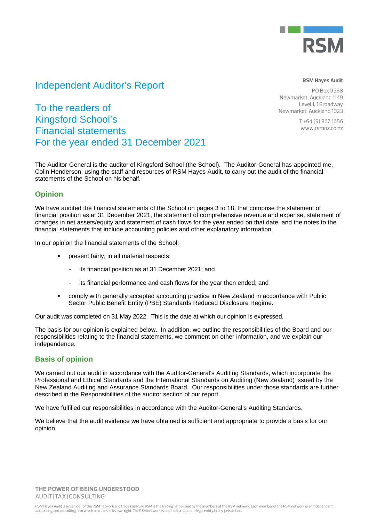

# Independent Auditor's Report

# **RSM Hayes Audit**

PO Box 9588 Newmarket, Auckland 1149 Level 1, 1 Broadway Newmarket, Auckland 1023

> $T + 64(9)$  367 1656 www.rsmnz.co.nz

To the readers of Kingsford School's Financial statements For the year ended 31 December 2021

The Auditor-General is the auditor of Kingsford School (the School). The Auditor-General has appointed me, Colin Henderson, using the staff and resources of RSM Hayes Audit, to carry out the audit of the financial statements of the School on his behalf.

# **Opinion**

We have audited the financial statements of the School on pages 3 to 18, that comprise the statement of financial position as at 31 December 2021, the statement of comprehensive revenue and expense, statement of changes in net assets/equity and statement of cash flows for the year ended on that date, and the notes to the financial statements that include accounting policies and other explanatory information.

In our opinion the financial statements of the School:

- present fairly, in all material respects:
	- its financial position as at 31 December 2021; and
	- its financial performance and cash flows for the year then ended; and
- comply with generally accepted accounting practice in New Zealand in accordance with Public Sector Public Benefit Entity (PBE) Standards Reduced Disclosure Regime.

Our audit was completed on 31 May 2022. This is the date at which our opinion is expressed.

The basis for our opinion is explained below. In addition, we outline the responsibilities of the Board and our responsibilities relating to the financial statements, we comment on other information, and we explain our independence.

# **Basis of opinion**

We carried out our audit in accordance with the Auditor-General's Auditing Standards, which incorporate the Professional and Ethical Standards and the International Standards on Auditing (New Zealand) issued by the New Zealand Auditing and Assurance Standards Board. Our responsibilities under those standards are further described in the Responsibilities of the auditor section of our report.

We have fulfilled our responsibilities in accordance with the Auditor-General's Auditing Standards.

We believe that the audit evidence we have obtained is sufficient and appropriate to provide a basis for our opinion.

THE POWER OF BEING UNDERSTOOD AUDIT|TAX|CONSULTING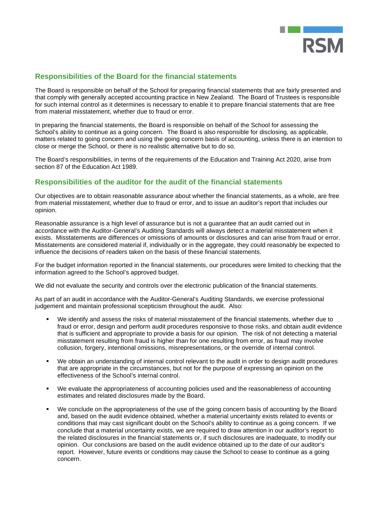

# **Responsibilities of the Board for the financial statements**

The Board is responsible on behalf of the School for preparing financial statements that are fairly presented and that comply with generally accepted accounting practice in New Zealand. The Board of Trustees is responsible for such internal control as it determines is necessary to enable it to prepare financial statements that are free from material misstatement, whether due to fraud or error.

In preparing the financial statements, the Board is responsible on behalf of the School for assessing the School's ability to continue as a going concern. The Board is also responsible for disclosing, as applicable, matters related to going concern and using the going concern basis of accounting, unless there is an intention to close or merge the School, or there is no realistic alternative but to do so.

The Board's responsibilities, in terms of the requirements of the Education and Training Act 2020, arise from section 87 of the Education Act 1989.

# **Responsibilities of the auditor for the audit of the financial statements**

Our objectives are to obtain reasonable assurance about whether the financial statements, as a whole, are free from material misstatement, whether due to fraud or error, and to issue an auditor's report that includes our opinion.

Reasonable assurance is a high level of assurance but is not a guarantee that an audit carried out in accordance with the Auditor-General's Auditing Standards will always detect a material misstatement when it exists. Misstatements are differences or omissions of amounts or disclosures and can arise from fraud or error. Misstatements are considered material if, individually or in the aggregate, they could reasonably be expected to influence the decisions of readers taken on the basis of these financial statements.

For the budget information reported in the financial statements, our procedures were limited to checking that the information agreed to the School's approved budget.

We did not evaluate the security and controls over the electronic publication of the financial statements.

As part of an audit in accordance with the Auditor-General's Auditing Standards, we exercise professional judgement and maintain professional scepticism throughout the audit. Also:

- We identify and assess the risks of material misstatement of the financial statements, whether due to fraud or error, design and perform audit procedures responsive to those risks, and obtain audit evidence that is sufficient and appropriate to provide a basis for our opinion. The risk of not detecting a material misstatement resulting from fraud is higher than for one resulting from error, as fraud may involve collusion, forgery, intentional omissions, misrepresentations, or the override of internal control.
- We obtain an understanding of internal control relevant to the audit in order to design audit procedures that are appropriate in the circumstances, but not for the purpose of expressing an opinion on the effectiveness of the School's internal control.
- We evaluate the appropriateness of accounting policies used and the reasonableness of accounting estimates and related disclosures made by the Board.
- We conclude on the appropriateness of the use of the going concern basis of accounting by the Board and, based on the audit evidence obtained, whether a material uncertainty exists related to events or conditions that may cast significant doubt on the School's ability to continue as a going concern. If we conclude that a material uncertainty exists, we are required to draw attention in our auditor's report to the related disclosures in the financial statements or, if such disclosures are inadequate, to modify our opinion. Our conclusions are based on the audit evidence obtained up to the date of our auditor's report. However, future events or conditions may cause the School to cease to continue as a going concern.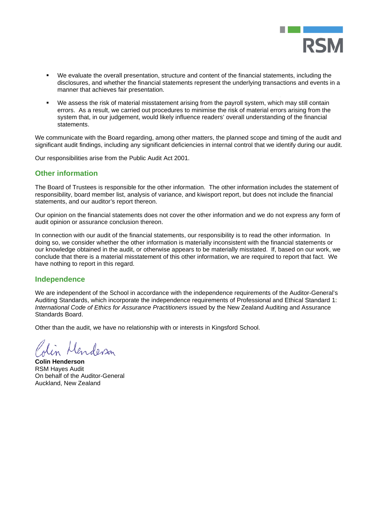

- We evaluate the overall presentation, structure and content of the financial statements, including the disclosures, and whether the financial statements represent the underlying transactions and events in a manner that achieves fair presentation.
- We assess the risk of material misstatement arising from the payroll system, which may still contain errors. As a result, we carried out procedures to minimise the risk of material errors arising from the system that, in our judgement, would likely influence readers' overall understanding of the financial statements.

We communicate with the Board regarding, among other matters, the planned scope and timing of the audit and significant audit findings, including any significant deficiencies in internal control that we identify during our audit.

Our responsibilities arise from the Public Audit Act 2001.

# **Other information**

The Board of Trustees is responsible for the other information. The other information includes the statement of responsibility, board member list, analysis of variance, and kiwisport report, but does not include the financial statements, and our auditor's report thereon.

Our opinion on the financial statements does not cover the other information and we do not express any form of audit opinion or assurance conclusion thereon.

In connection with our audit of the financial statements, our responsibility is to read the other information. In doing so, we consider whether the other information is materially inconsistent with the financial statements or our knowledge obtained in the audit, or otherwise appears to be materially misstated. If, based on our work, we conclude that there is a material misstatement of this other information, we are required to report that fact. We have nothing to report in this regard.

# **Independence**

We are independent of the School in accordance with the independence requirements of the Auditor-General's Auditing Standards, which incorporate the independence requirements of Professional and Ethical Standard 1: *International Code of Ethics for Assurance Practitioners* issued by the New Zealand Auditing and Assurance Standards Board.

Other than the audit, we have no relationship with or interests in Kingsford School.

enderson

**Colin Henderson**  RSM Hayes Audit On behalf of the Auditor-General Auckland, New Zealand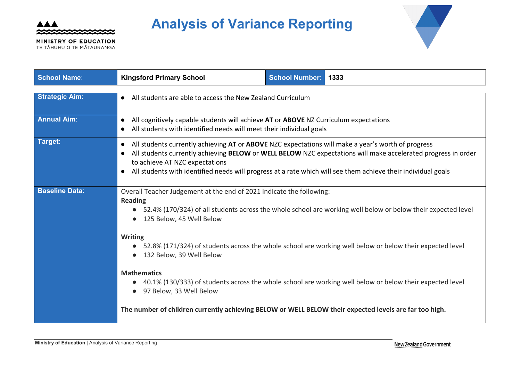

MINISTRY OF EDUCATION TE TĂHUHU O TE MĂTAURANGA

# **Analysis of Variance Reporting**



| <b>School Name:</b>   | <b>Kingsford Primary School</b>                                                                                                                                                                                                                                                                                                                                        | <b>School Number:</b> | 1333                                                                                                         |  |
|-----------------------|------------------------------------------------------------------------------------------------------------------------------------------------------------------------------------------------------------------------------------------------------------------------------------------------------------------------------------------------------------------------|-----------------------|--------------------------------------------------------------------------------------------------------------|--|
| <b>Strategic Aim:</b> | • All students are able to access the New Zealand Curriculum                                                                                                                                                                                                                                                                                                           |                       |                                                                                                              |  |
| <b>Annual Aim:</b>    | All cognitively capable students will achieve AT or ABOVE NZ Curriculum expectations<br>$\bullet$<br>All students with identified needs will meet their individual goals                                                                                                                                                                                               |                       |                                                                                                              |  |
| Target:               | All students currently achieving AT or ABOVE NZC expectations will make a year's worth of progress<br>All students currently achieving BELOW or WELL BELOW NZC expectations will make accelerated progress in order<br>to achieve AT NZC expectations<br>All students with identified needs will progress at a rate which will see them achieve their individual goals |                       |                                                                                                              |  |
| <b>Baseline Data:</b> | Overall Teacher Judgement at the end of 2021 indicate the following:<br><b>Reading</b><br>125 Below, 45 Well Below                                                                                                                                                                                                                                                     |                       | 52.4% (170/324) of all students across the whole school are working well below or below their expected level |  |
|                       | <b>Writing</b><br>132 Below, 39 Well Below                                                                                                                                                                                                                                                                                                                             |                       | 52.8% (171/324) of students across the whole school are working well below or below their expected level     |  |
|                       | <b>Mathematics</b><br>97 Below, 33 Well Below                                                                                                                                                                                                                                                                                                                          |                       | 40.1% (130/333) of students across the whole school are working well below or below their expected level     |  |
|                       | The number of children currently achieving BELOW or WELL BELOW their expected levels are far too high.                                                                                                                                                                                                                                                                 |                       |                                                                                                              |  |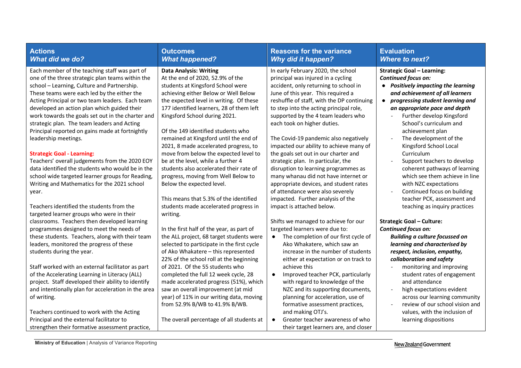| <b>Actions</b><br><b>What did we do?</b>                                                                                                                                                                                                                                                                                                                                                                                                                                                                                                                                                                                                                                                                                                | <b>Outcomes</b><br><b>What happened?</b>                                                                                                                                                                                                                                                                                                                                                                                                                                                                                                                                                      | <b>Reasons for the variance</b><br><b>Why did it happen?</b>                                                                                                                                                                                                                                                                                                                                                                                                                                                                                                                                                                                           | <b>Evaluation</b><br><b>Where to next?</b>                                                                                                                                                                                                                                                                                                                                                                                                                                                                                          |
|-----------------------------------------------------------------------------------------------------------------------------------------------------------------------------------------------------------------------------------------------------------------------------------------------------------------------------------------------------------------------------------------------------------------------------------------------------------------------------------------------------------------------------------------------------------------------------------------------------------------------------------------------------------------------------------------------------------------------------------------|-----------------------------------------------------------------------------------------------------------------------------------------------------------------------------------------------------------------------------------------------------------------------------------------------------------------------------------------------------------------------------------------------------------------------------------------------------------------------------------------------------------------------------------------------------------------------------------------------|--------------------------------------------------------------------------------------------------------------------------------------------------------------------------------------------------------------------------------------------------------------------------------------------------------------------------------------------------------------------------------------------------------------------------------------------------------------------------------------------------------------------------------------------------------------------------------------------------------------------------------------------------------|-------------------------------------------------------------------------------------------------------------------------------------------------------------------------------------------------------------------------------------------------------------------------------------------------------------------------------------------------------------------------------------------------------------------------------------------------------------------------------------------------------------------------------------|
| Each member of the teaching staff was part of<br>one of the three strategic plan teams within the<br>school - Learning, Culture and Partnership.<br>These teams were each led by the either the<br>Acting Principal or two team leaders. Each team<br>developed an action plan which guided their<br>work towards the goals set out in the charter and<br>strategic plan. The team leaders and Acting<br>Principal reported on gains made at fortnightly<br>leadership meetings.<br><b>Strategic Goal - Learning:</b><br>Teachers' overall judgements from the 2020 EOY<br>data identified the students who would be in the<br>school wide targeted learner groups for Reading,<br>Writing and Mathematics for the 2021 school<br>year. | <b>Data Analysis: Writing</b><br>At the end of 2020, 52.9% of the<br>students at Kingsford School were<br>achieving either Below or Well Below<br>the expected level in writing. Of these<br>177 identified learners, 28 of them left<br>Kingsford School during 2021.<br>Of the 149 identified students who<br>remained at Kingsford until the end of<br>2021, 8 made accelerated progress, to<br>move from below the expected level to<br>be at the level, while a further 4<br>students also accelerated their rate of<br>progress, moving from Well Below to<br>Below the expected level. | In early February 2020, the school<br>principal was injured in a cycling<br>accident, only returning to school in<br>June of this year. This required a<br>reshuffle of staff, with the DP continuing<br>to step into the acting principal role,<br>supported by the 4 team leaders who<br>each took on higher duties.<br>The Covid-19 pandemic also negatively<br>impacted our ability to achieve many of<br>the goals set out in our charter and<br>strategic plan. In particular, the<br>disruption to learning programmes as<br>many whanau did not have internet or<br>appropriate devices, and student rates<br>of attendance were also severely | <b>Strategic Goal - Learning:</b><br><b>Continued focus on:</b><br>• Positively impacting the learning<br>and achievement of all learners<br>progressing student learning and<br>$\bullet$<br>an appropriate pace and depth<br>Further develop Kingsford<br>School's curriculum and<br>achievement plan<br>The development of the<br>Kingsford School Local<br>Curriculum<br>Support teachers to develop<br>coherent pathways of learning<br>which see them achieve in line<br>with NZC expectations<br>Continued focus on building |
| Teachers identified the students from the<br>targeted learner groups who were in their                                                                                                                                                                                                                                                                                                                                                                                                                                                                                                                                                                                                                                                  | This means that 5.3% of the identified<br>students made accelerated progress in<br>writing.                                                                                                                                                                                                                                                                                                                                                                                                                                                                                                   | impacted. Further analysis of the<br>impact is attached below.                                                                                                                                                                                                                                                                                                                                                                                                                                                                                                                                                                                         | teacher PCK, assessment and<br>teaching as inquiry practices                                                                                                                                                                                                                                                                                                                                                                                                                                                                        |
| classrooms. Teachers then developed learning<br>programmes designed to meet the needs of<br>these students. Teachers, along with their team<br>leaders, monitored the progress of these<br>students during the year.<br>Staff worked with an external facilitator as part<br>of the Accelerating Learning in Literacy (ALL)<br>project. Staff developed their ability to identify<br>and intentionally plan for acceleration in the area<br>of writing.<br>Teachers continued to work with the Acting<br>Principal and the external facilitator to<br>strengthen their formative assessment practice,                                                                                                                                   | In the first half of the year, as part of<br>the ALL project, 68 target students were<br>selected to participate in the first cycle<br>of Ako Whakatere - this represented<br>22% of the school roll at the beginning<br>of 2021. Of the 55 students who<br>completed the full 12 week cycle, 28<br>made accelerated progress (51%), which<br>saw an overall improvement (at mid<br>year) of 11% in our writing data, moving<br>from 52.9% B/WB to 41.9% B/WB.<br>The overall percentage of all students at                                                                                   | Shifts we managed to achieve for our<br>targeted learners were due to:<br>The completion of our first cycle of<br>$\bullet$<br>Ako Whakatere, which saw an<br>increase in the number of students<br>either at expectation or on track to<br>achieve this<br>Improved teacher PCK, particularly<br>$\bullet$<br>with regard to knowledge of the<br>NZC and its supporting documents,<br>planning for acceleration, use of<br>formative assessment practices,<br>and making OTJ's.<br>Greater teacher awareness of who<br>$\bullet$<br>their target learners are, and closer                                                                             | <b>Strategic Goal - Culture:</b><br>Continued focus on:<br><b>Building a culture focussed on</b><br>learning and characterised by<br>respect, inclusion, empathy,<br>collaboration and safety<br>monitoring and improving<br>student rates of engagement<br>and attendance<br>high expectations evident<br>across our learning community<br>review of our school vision and<br>values, with the inclusion of<br>learning dispositions                                                                                               |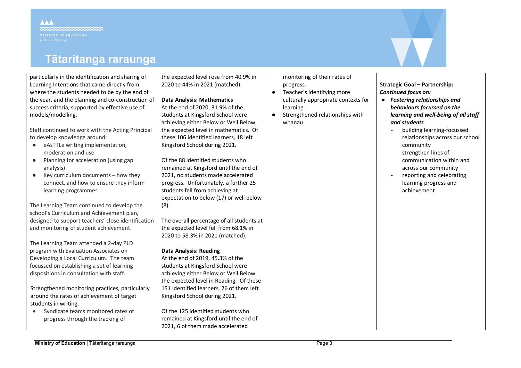# **Tātaritanga raraunga**

particularly in the identification and sharing of Learning Intentions that came directly from where the students needed to be by the end of the year, and the planning and co-construction of success criteria, supported by effective use of models/modelling.

Staff continued to work with the Acting Principal to develop knowledge around:

- eAsTTLe writing implementation, moderation and use
- Planning for acceleration (using gap analysis)
- $\bullet$  Key curriculum documents how they connect, and how to ensure they inform learning programmes

The Learning Team continued to develop the school's Curriculum and Achievement plan, designed to support teachers' close identification and monitoring of student achievement.

The Learning Team attended a 2-day PLD program with Evaluation Associates on Developing a Local Curriculum. The team focussed on establishing a set of learning dispositions in consultation with staff.

Strengthened monitoring practices, particularly around the rates of achievement of target students in writing.

• Syndicate teams monitored rates of progress through the tracking of

the expected level rose from 40.9% in 2020 to 44% in 2021 (matched).

# **Data Analysis: Mathematics**

At the end of 2020, 31.9% of the students at Kingsford School were achieving either Below or Well Below the expected level in mathematics. Of these 106 identified learners, 18 left Kingsford School during 2021.

Of the 88 identified students who remained at Kingsford until the end of 2021, no students made accelerated progress. Unfortunately, a further 25 students fell from achieving at expectation to below (17) or well below (8).

The overall percentage of all students at the expected level fell from 68.1% in 2020 to 58.3% in 2021 (matched).

# **Data Analysis: Reading**

At the end of 2019, 45.3% of the students at Kingsford School were achieving either Below or Well Below the expected level in Reading. Of these 151 identified learners, 26 of them left Kingsford School during 2021.

Of the 125 identified students who remained at Kingsford until the end of 2021, 6 of them made accelerated

monitoring of their rates of progress.

- Teacher's identifying more culturally appropriate contexts for learning.
- Strengthened relationships with whanau.

**Strategic Goal – Partnership:** *Continued focus on:*

- *Fostering relationships and behaviours focussed on the learning and well-being of all staff and students*
	- building learning-focussed relationships across our school community
	- strengthen lines of communication within and across our community
	- reporting and celebrating learning progress and achievement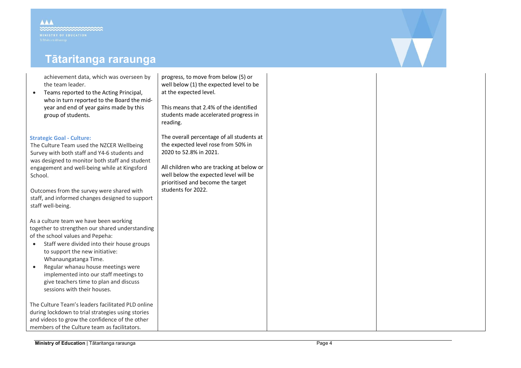# **Tātaritanga raraunga**

achievement data, which was overseen by the team leader.

• Teams reported to the Acting Principal, who in turn reported to the Board the midyear and end of year gains made by this group of students.

# **Strategic Goal - Culture:**

The Culture Team used the NZCER Wellbeing Survey with both staff and Y4-6 students and was designed to monitor both staff and student engagement and well-being while at Kingsford School.

Outcomes from the survey were shared with staff, and informed changes designed to support staff well-being.

As a culture team we have been working together to strengthen our shared understanding of the school values and Pepeha:

- Staff were divided into their house groups to support the new initiative: Whanaungatanga Time.
- Regular whanau house meetings were implemented into our staff meetings to give teachers time to plan and discuss sessions with their houses.

The Culture Team's leaders facilitated PLD online during lockdown to trial strategies using stories and videos to grow the confidence of the other members of the Culture team as facilitators.

progress, to move from below (5) or well below (1) the expected level to be at the expected level.

This means that 2.4% of the identified students made accelerated progress in reading.

The overall percentage of all students at the expected level rose from 50% in 2020 to 52.8% in 2021.

All children who are tracking at below or well below the expected level will be prioritised and become the target students for 2022.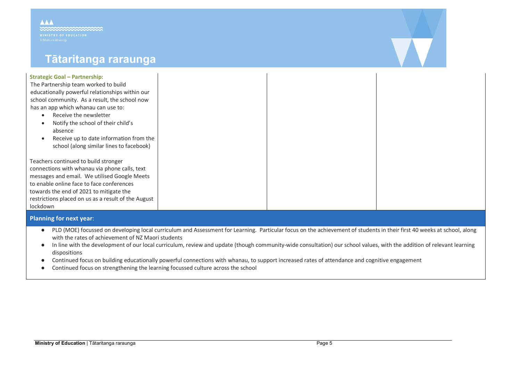**AAA** 

# **Tātaritanga raraunga**

# **Strategic Goal – Partnership:**

The Partnership team worked to build educationally powerful relationships within our school community. As a result, the school now has an app which whanau can use to:

- Receive the newsletter
- Notify the school of their child's absence
- Receive up to date information from the school (along similar lines to facebook)

Teachers continued to build stronger connections with whanau via phone calls, text messages and email. We utilised Google Meets to enable online face to face conferences towards the end of 2021 to mitigate the restrictions placed on us as a result of the August lockdown

# **Planning for next year**:

- PLD (MOE) focussed on developing local curriculum and Assessment for Learning. Particular focus on the achievement of students in their first 40 weeks at school, along with the rates of achievement of NZ Maori students
- In line with the development of our local curriculum, review and update (though community-wide consultation) our school values, with the addition of relevant learning dispositions
- Continued focus on building educationally powerful connections with whanau, to support increased rates of attendance and cognitive engagement
- Continued focus on strengthening the learning focussed culture across the school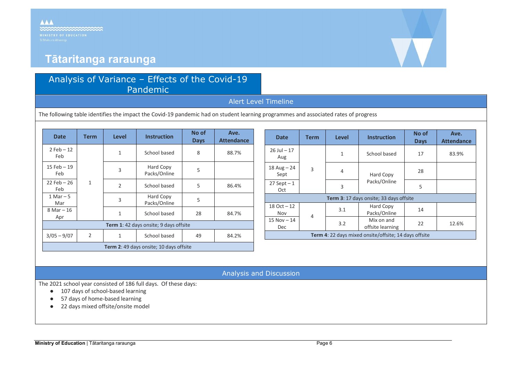

# **Tātaritanga raraunga**

# Analysis of Variance – Effects of the Covid-19 Pandemic

# Alert Level Timeline

The following table identifies the impact the Covid-19 pandemic had on student learning programmes and associated rates of progress

| <b>Date</b>                             | <b>Term</b>    | <b>Level</b> | <b>Instruction</b>        | No of<br><b>Days</b> | Ave.<br><b>Attendance</b> |
|-----------------------------------------|----------------|--------------|---------------------------|----------------------|---------------------------|
| $2$ Feb $-12$<br>Feb                    | $\mathbf{1}$   | 1            | School based              | 8                    | 88.7%                     |
| 15 Feb $-19$<br>Feb                     |                | 3            | Hard Copy<br>Packs/Online | 5                    |                           |
| $22$ Feb - 26<br>Feb                    |                | 2            | School based              | 5                    | 86.4%                     |
| $1$ Mar $-5$<br>Mar                     |                | 3            | Hard Copy<br>Packs/Online | 5                    |                           |
| $8$ Mar $-16$<br>Apr                    |                | 1            | School based              | 28                   | 84.7%                     |
| Term 1: 42 days onsite; 9 days offsite  |                |              |                           |                      |                           |
| $3/05 - 9/07$                           | $\overline{2}$ | $\mathbf{1}$ | School based              | 49                   | 84.2%                     |
| Term 2: 49 days onsite; 10 days offsite |                |              |                           |                      |                           |

| <b>Date</b>                                           | <b>Term</b> | <b>Level</b> | <b>Instruction</b>                                               | No of<br><b>Days</b> | Ave.<br><b>Attendance</b> |  |
|-------------------------------------------------------|-------------|--------------|------------------------------------------------------------------|----------------------|---------------------------|--|
| $26$ Jul $-17$<br>Aug                                 | 3           | $\mathbf{1}$ | School based<br>$\overline{4}$<br>Hard Copy<br>Packs/Online<br>3 | 17                   | 83.9%                     |  |
| $18$ Aug $- 24$<br>Sept                               |             |              |                                                                  | 28                   |                           |  |
| $27$ Sept $-1$<br>Oct                                 |             |              |                                                                  | 5                    |                           |  |
| Term 3: 17 days onsite; 33 days offsite               |             |              |                                                                  |                      |                           |  |
| $18$ Oct $-12$<br>Nov                                 | 4           | 3.1          | Hard Copy<br>Packs/Online                                        | 14                   |                           |  |
| $15 Nov - 14$<br><b>Dec</b>                           |             | 3.2          | Mix on and<br>offsite learning                                   | 22                   | 12.6%                     |  |
| Term 4: 22 days mixed onsite/offsite; 14 days offsite |             |              |                                                                  |                      |                           |  |

# Analysis and Discussion

The 2021 school year consisted of 186 full days. Of these days:

- 107 days of school-based learning
- 57 days of home-based learning
- 22 days mixed offsite/onsite model

## **AAA Annon**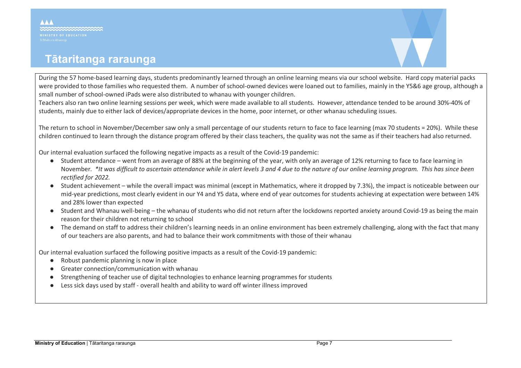# **Tātaritanga raraunga**

**AAA** 

During the 57 home-based learning days, students predominantly learned through an online learning means via our school website. Hard copy material packs were provided to those families who requested them. A number of school-owned devices were loaned out to families, mainly in the Y5&6 age group, although a small number of school-owned iPads were also distributed to whanau with younger children.

Teachers also ran two online learning sessions per week, which were made available to all students. However, attendance tended to be around 30%-40% of students, mainly due to either lack of devices/appropriate devices in the home, poor internet, or other whanau scheduling issues.

The return to school in November/December saw only a small percentage of our students return to face to face learning (max 70 students = 20%). While these children continued to learn through the distance program offered by their class teachers, the quality was not the same as if their teachers had also returned.

Our internal evaluation surfaced the following negative impacts as a result of the Covid-19 pandemic:

- Student attendance went from an average of 88% at the beginning of the year, with only an average of 12% returning to face to face learning in November. *\*It was difficult to ascertain attendance while in alert levels 3 and 4 due to the nature of our online learning program. This has since been rectified for 2022.*
- Student achievement while the overall impact was minimal (except in Mathematics, where it dropped by 7.3%), the impact is noticeable between our mid-year predictions, most clearly evident in our Y4 and Y5 data, where end of year outcomes for students achieving at expectation were between 14% and 28% lower than expected
- Student and Whanau well-being the whanau of students who did not return after the lockdowns reported anxiety around Covid-19 as being the main reason for their children not returning to school
- The demand on staff to address their children's learning needs in an online environment has been extremely challenging, along with the fact that many of our teachers are also parents, and had to balance their work commitments with those of their whanau

Our internal evaluation surfaced the following positive impacts as a result of the Covid-19 pandemic:

- Robust pandemic planning is now in place
- Greater connection/communication with whanau
- Strengthening of teacher use of digital technologies to enhance learning programmes for students
- Less sick days used by staff overall health and ability to ward off winter illness improved